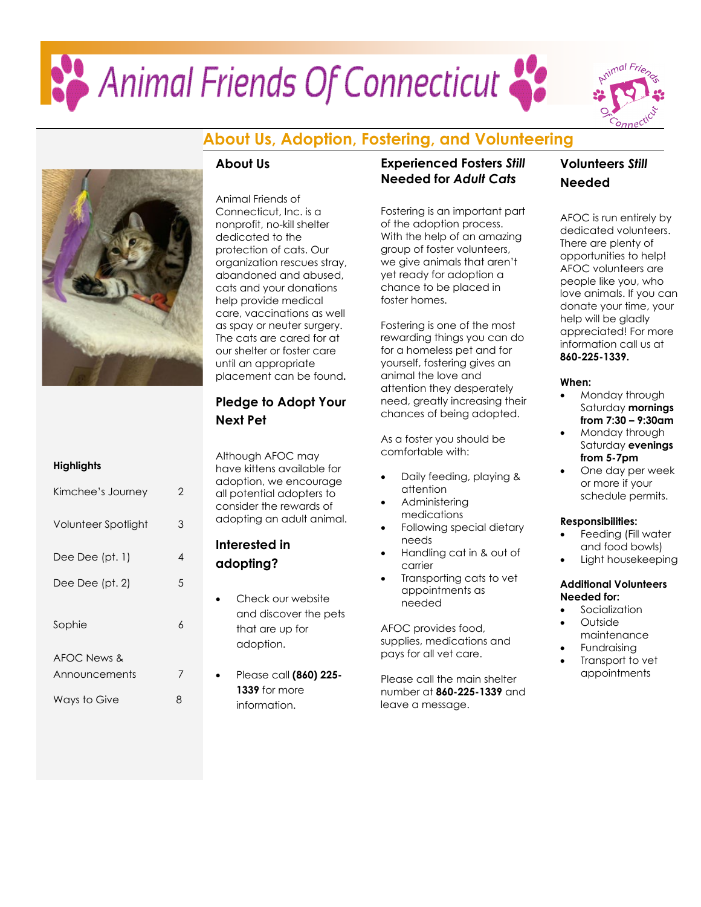# Animal Friends Of Connecticut



### **About Us, Adoption, Fostering, and Volunteering**



### **About Us**

Animal Friends of Connecticut, Inc. is a nonprofit, no-kill shelter dedicated to the protection of cats. Our organization rescues stray, abandoned and abused, cats and your donations help provide medical care, vaccinations as well as spay or neuter surgery. The cats are cared for at our shelter or foster care until an appropriate placement can be found**.**

### **Pledge to Adopt Your Next Pet**

Although AFOC may have kittens available for adoption, we encourage all potential adopters to consider the rewards of adopting an adult animal.

### **Interested in adopting?**

- Check our website and discover the pets that are up for adoption.
- Please call **(860) 225- 1339** for more information.

### **Experienced Fosters** *Still* **Needed for** *Adult Cats*

Fostering is an important part of the adoption process. With the help of an amazing group of foster volunteers, we give animals that aren't yet ready for adoption a chance to be placed in foster homes.

Fostering is one of the most rewarding things you can do for a homeless pet and for yourself, fostering gives an animal the love and attention they desperately need, greatly increasing their chances of being adopted.

As a foster you should be comfortable with:

- Daily feeding, playing & attention
- Administering medications
- Following special dietary needs
- Handling cat in & out of carrier
- Transporting cats to vet appointments as needed

AFOC provides food, supplies, medications and pays for all vet care.

Please call the main shelter number at **860-225-1339** and leave a message.

### **Volunteers** *Still*  **Needed**

AFOC is run entirely by dedicated volunteers. There are plenty of opportunities to help! AFOC volunteers are people like you, who love animals. If you can donate your time, your help will be gladly appreciated! For more information call us at **860-225-1339.**

### **When:**

- Monday through Saturday **mornings from 7:30 – 9:30am**
- Monday through Saturday **evenings from 5-7pm**
- One day per week or more if your schedule permits.

### **Responsibilities:**

- Feeding (Fill water and food bowls)
- Light housekeeping

### **Additional Volunteers Needed for:**

- **Socialization**
- Outside maintenance
- **Fundraising**
- Transport to vet appointments

### **Highlights**

| Kimchee's Journey   | 2 |
|---------------------|---|
| Volunteer Spotlight | 3 |
| Dee Dee (pt. 1)     | 4 |
| Dee Dee (pt. 2)     | 5 |
| Sophie              | 6 |
| AFOC News &         |   |
| Announcements       | 7 |
| Ways to Give        | 8 |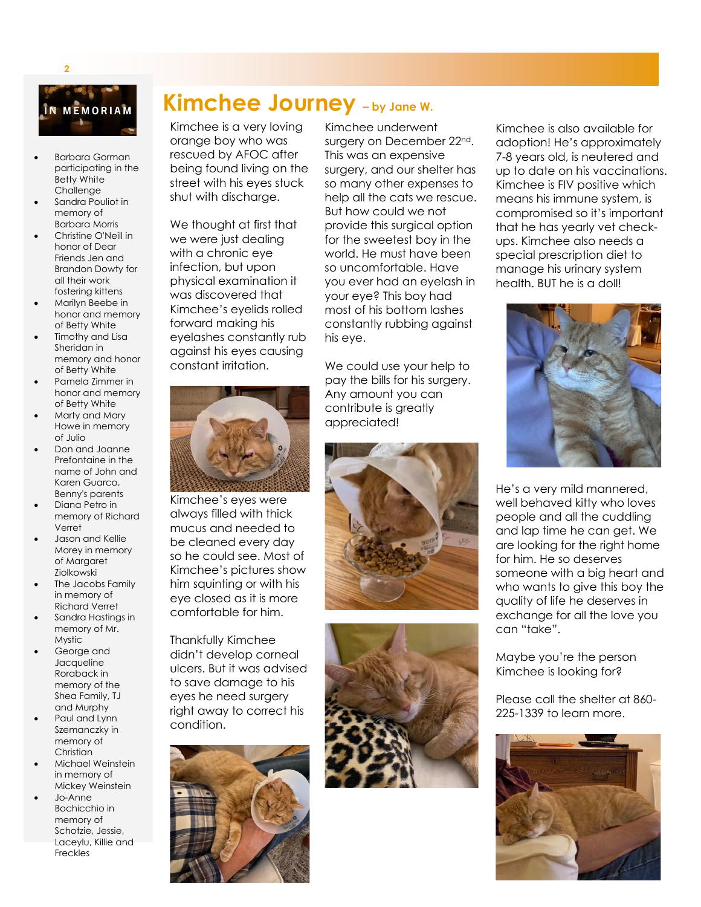

**2**

- Barbara Gorman participating in the Betty White Challenge
- Sandra Pouliot in memory of Barbara Morris
- Christine O'Neill in honor of Dear Friends Jen and Brandon Dowty for all their work fostering kittens
- Marilyn Beebe in honor and memory of Betty White
- Timothy and Lisa Sheridan in memory and honor of Betty White
- Pamela Zimmer in honor and memory of Betty White
- Marty and Mary Howe in memory of Julio
- Don and Joanne Prefontaine in the name of John and Karen Guarco, Benny's parents
- Diana Petro in memory of Richard Verret
- Jason and Kellie Morey in memory of Margaret Ziolkowski
- The Jacobs Family in memory of Richard Verret
- Sandra Hastings in memory of Mr. Mystic
- George and Jacqueline Roraback in memory of the Shea Family, TJ and Murphy
- Paul and Lynn Szemanczky in memory of **Christian**
- Michael Weinstein in memory of Mickey Weinstein
- Jo-Anne Bochicchio in memory of Schotzie, Jessie, Laceylu, Killie and Freckles

### **Kimchee Journey – by Jane W.**

Kimchee is a very loving orange boy who was rescued by AFOC after being found living on the street with his eyes stuck shut with discharge.

We thought at first that we were just dealing with a chronic eye infection, but upon physical examination it was discovered that Kimchee's eyelids rolled forward making his eyelashes constantly rub against his eyes causing constant irritation.



Kimchee's eyes were always filled with thick mucus and needed to be cleaned every day so he could see. Most of Kimchee's pictures show him squinting or with his eye closed as it is more comfortable for him.

Thankfully Kimchee didn't develop corneal ulcers. But it was advised to save damage to his eyes he need surgery right away to correct his condition.



Kimchee underwent surgery on December 22<sup>nd</sup>. This was an expensive surgery, and our shelter has so many other expenses to help all the cats we rescue. But how could we not provide this surgical option for the sweetest boy in the world. He must have been so uncomfortable. Have you ever had an eyelash in your eye? This boy had most of his bottom lashes constantly rubbing against his eye.

We could use your help to pay the bills for his surgery. Any amount you can contribute is greatly appreciated!





Kimchee is also available for adoption! He's approximately 7-8 years old, is neutered and up to date on his vaccinations. Kimchee is FIV positive which means his immune system, is compromised so it's important that he has yearly vet checkups. Kimchee also needs a special prescription diet to manage his urinary system health. BUT he is a doll!



He's a very mild mannered, well behaved kitty who loves people and all the cuddling and lap time he can get. We are looking for the right home for him. He so deserves someone with a big heart and who wants to give this boy the quality of life he deserves in exchange for all the love you can "take".

Maybe you're the person Kimchee is looking for?

Please call the shelter at 860- 225-1339 to learn more.

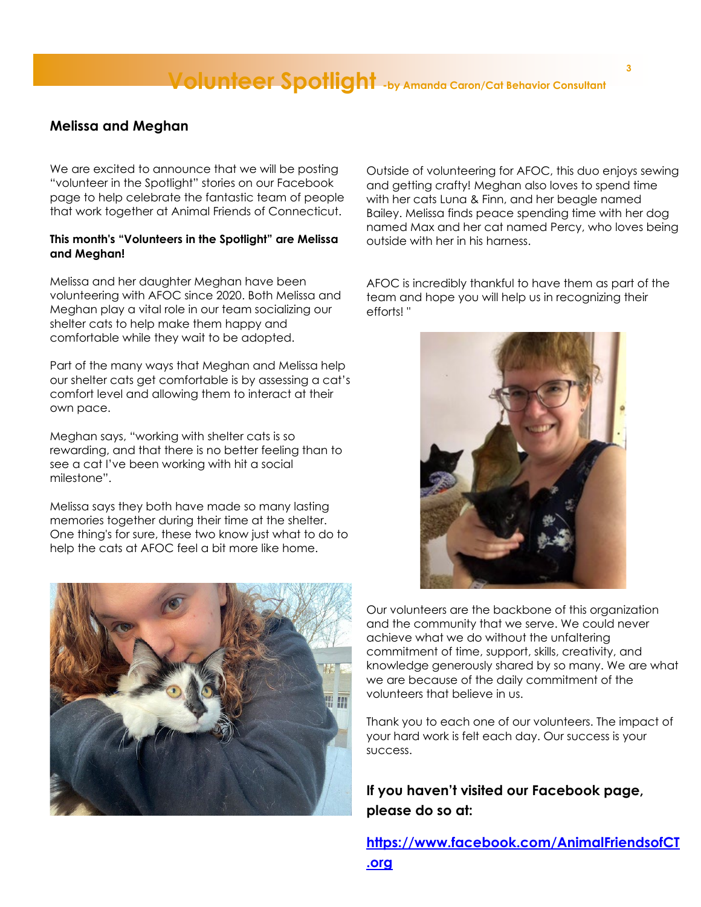### **Volunteer Spotlight -by Amanda Caron/Cat Behavior Consultant**

### **Melissa and Meghan**

We are excited to announce that we will be posting "volunteer in the Spotlight" stories on our Facebook page to help celebrate the fantastic team of people that work together at Animal Friends of Connecticut.

### **This month's "Volunteers in the Spotlight" are Melissa and Meghan!**

Melissa and her daughter Meghan have been volunteering with AFOC since 2020. Both Melissa and Meghan play a vital role in our team socializing our shelter cats to help make them happy and comfortable while they wait to be adopted.

Part of the many ways that Meghan and Melissa help our shelter cats get comfortable is by assessing a cat's comfort level and allowing them to interact at their own pace.

Meghan says, "working with shelter cats is so rewarding, and that there is no better feeling than to see a cat I've been working with hit a social milestone".

Melissa says they both have made so many lasting memories together during their time at the shelter. One thing's for sure, these two know just what to do to help the cats at AFOC feel a bit more like home.



Outside of volunteering for AFOC, this duo enjoys sewing and getting crafty! Meghan also loves to spend time with her cats Luna & Finn, and her beagle named Bailey. Melissa finds peace spending time with her dog named Max and her cat named Percy, who loves being outside with her in his harness.

AFOC is incredibly thankful to have them as part of the team and hope you will help us in recognizing their efforts! "



Our volunteers are the backbone of this organization and the community that we serve. We could never achieve what we do without the unfaltering commitment of time, support, skills, creativity, and knowledge generously shared by so many. We are what we are because of the daily commitment of the volunteers that believe in us.

Thank you to each one of our volunteers. The impact of your hard work is felt each day. Our success is your success.

**If you haven't visited our Facebook page, please do so at:**

**[https://www.facebook.com/AnimalFriendsofCT](https://www.facebook.com/AnimalFriendsofCT.org) [.org](https://www.facebook.com/AnimalFriendsofCT.org)**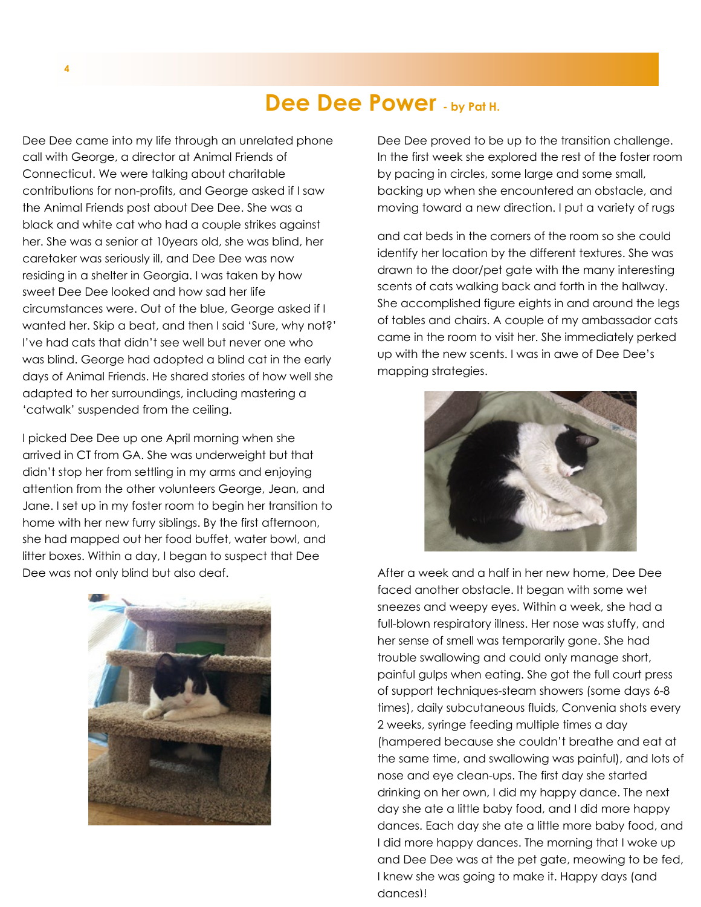### **Dee Dee Power - by Pat H.**

Dee Dee came into my life through an unrelated phone call with George, a director at Animal Friends of Connecticut. We were talking about charitable contributions for non-profits, and George asked if I saw the Animal Friends post about Dee Dee. She was a black and white cat who had a couple strikes against her. She was a senior at 10years old, she was blind, her caretaker was seriously ill, and Dee Dee was now residing in a shelter in Georgia. I was taken by how sweet Dee Dee looked and how sad her life circumstances were. Out of the blue, George asked if I wanted her. Skip a beat, and then I said 'Sure, why not?' I've had cats that didn't see well but never one who was blind. George had adopted a blind cat in the early days of Animal Friends. He shared stories of how well she adapted to her surroundings, including mastering a 'catwalk' suspended from the ceiling.

I picked Dee Dee up one April morning when she arrived in CT from GA. She was underweight but that didn't stop her from settling in my arms and enjoying attention from the other volunteers George, Jean, and Jane. I set up in my foster room to begin her transition to home with her new furry siblings. By the first afternoon, she had mapped out her food buffet, water bowl, and litter boxes. Within a day, I began to suspect that Dee Dee was not only blind but also deaf.



Dee Dee proved to be up to the transition challenge. In the first week she explored the rest of the foster room by pacing in circles, some large and some small, backing up when she encountered an obstacle, and moving toward a new direction. I put a variety of rugs

and cat beds in the corners of the room so she could identify her location by the different textures. She was drawn to the door/pet gate with the many interesting scents of cats walking back and forth in the hallway. She accomplished figure eights in and around the legs of tables and chairs. A couple of my ambassador cats came in the room to visit her. She immediately perked up with the new scents. I was in awe of Dee Dee's mapping strategies.



After a week and a half in her new home, Dee Dee faced another obstacle. It began with some wet sneezes and weepy eyes. Within a week, she had a full-blown respiratory illness. Her nose was stuffy, and her sense of smell was temporarily gone. She had trouble swallowing and could only manage short, painful gulps when eating. She got the full court press of support techniques-steam showers (some days 6-8 times), daily subcutaneous fluids, Convenia shots every 2 weeks, syringe feeding multiple times a day (hampered because she couldn't breathe and eat at the same time, and swallowing was painful), and lots of nose and eye clean-ups. The first day she started drinking on her own, I did my happy dance. The next day she ate a little baby food, and I did more happy dances. Each day she ate a little more baby food, and I did more happy dances. The morning that I woke up and Dee Dee was at the pet gate, meowing to be fed, I knew she was going to make it. Happy days (and dances)!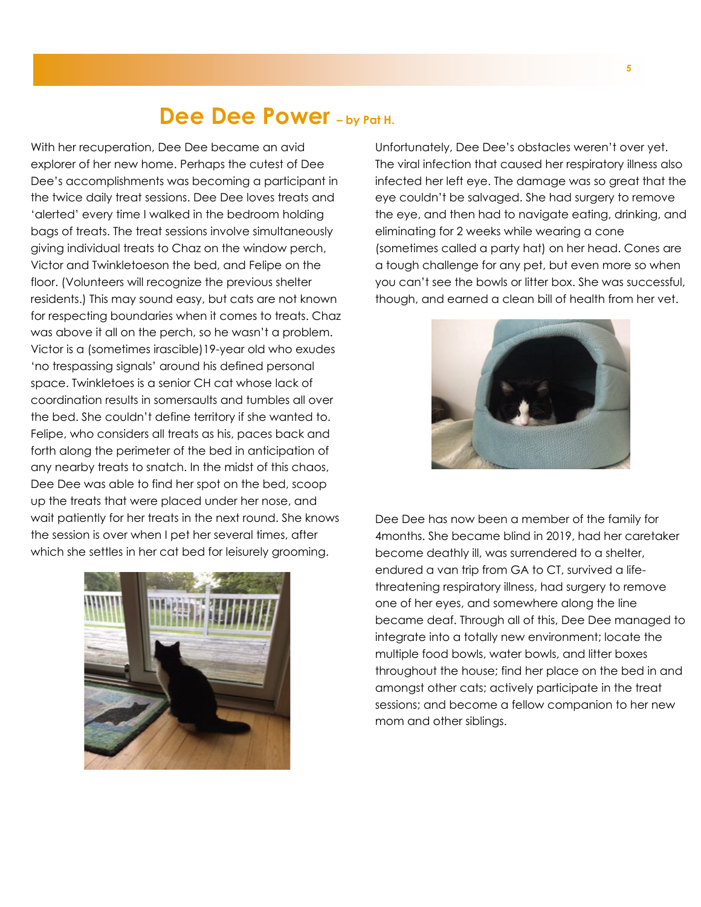### **Dee Dee Power – by Pat H.**

With her recuperation, Dee Dee became an avid explorer of her new home. Perhaps the cutest of Dee Dee's accomplishments was becoming a participant in the twice daily treat sessions. Dee Dee loves treats and 'alerted' every time I walked in the bedroom holding bags of treats. The treat sessions involve simultaneously giving individual treats to Chaz on the window perch, Victor and Twinkletoeson the bed, and Felipe on the floor. (Volunteers will recognize the previous shelter residents.) This may sound easy, but cats are not known for respecting boundaries when it comes to treats. Chaz was above it all on the perch, so he wasn't a problem. Victor is a (sometimes irascible)19-year old who exudes 'no trespassing signals' around his defined personal space. Twinkletoes is a senior CH cat whose lack of coordination results in somersaults and tumbles all over the bed. She couldn't define territory if she wanted to. Felipe, who considers all treats as his, paces back and forth along the perimeter of the bed in anticipation of any nearby treats to snatch. In the midst of this chaos, Dee Dee was able to find her spot on the bed, scoop up the treats that were placed under her nose, and wait patiently for her treats in the next round. She knows the session is over when I pet her several times, after which she settles in her cat bed for leisurely grooming.



Unfortunately, Dee Dee's obstacles weren't over yet. The viral infection that caused her respiratory illness also infected her left eye. The damage was so great that the eye couldn't be salvaged. She had surgery to remove the eye, and then had to navigate eating, drinking, and eliminating for 2 weeks while wearing a cone (sometimes called a party hat) on her head. Cones are a tough challenge for any pet, but even more so when you can't see the bowls or litter box. She was successful, though, and earned a clean bill of health from her vet.



Dee Dee has now been a member of the family for 4months. She became blind in 2019, had her caretaker become deathly ill, was surrendered to a shelter, endured a van trip from GA to CT, survived a lifethreatening respiratory illness, had surgery to remove one of her eyes, and somewhere along the line became deaf. Through all of this, Dee Dee managed to integrate into a totally new environment; locate the multiple food bowls, water bowls, and litter boxes throughout the house; find her place on the bed in and amongst other cats; actively participate in the treat sessions; and become a fellow companion to her new mom and other siblings.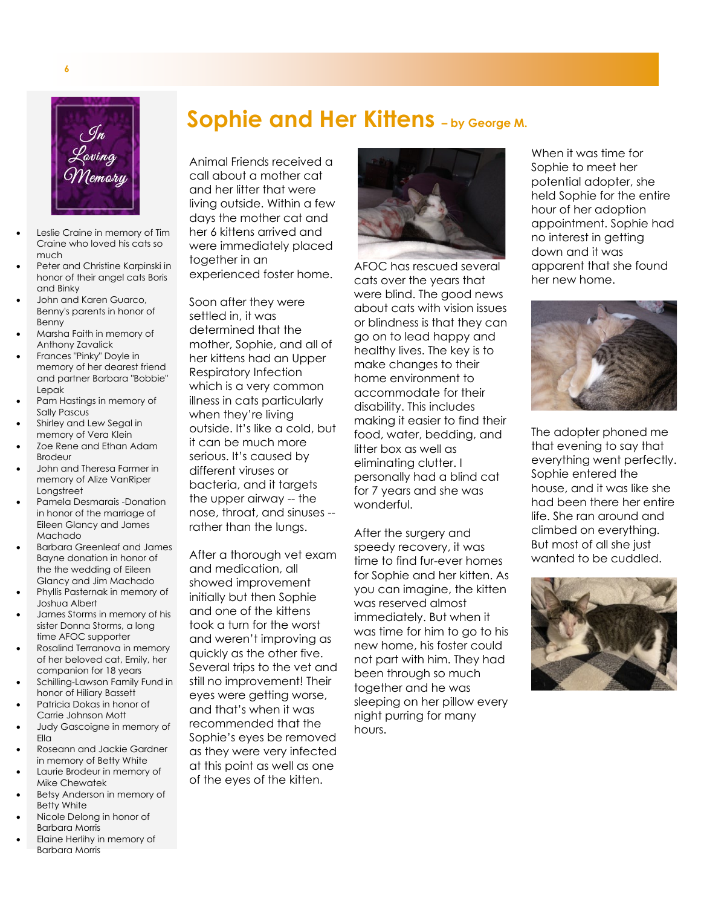

**6**

- Leslie Craine in memory of Tim Craine who loved his cats so much
- Peter and Christine Karpinski in honor of their angel cats Boris and Binky
- John and Karen Guarco, Benny's parents in honor of Benny
- Marsha Faith in memory of Anthony Zavalick
- Frances "Pinky" Doyle in memory of her dearest friend and partner Barbara "Bobbie" Lepak
- Pam Hastings in memory of Sally Pascus
- Shirley and Lew Segal in memory of Vera Klein
- Zoe Rene and Ethan Adam Brodeur
- John and Theresa Farmer in memory of Alize VanRiper Longstreet
- Pamela Desmarais -Donation in honor of the marriage of Eileen Glancy and James Machado
- Barbara Greenleaf and James Bayne donation in honor of the the wedding of Eileen Glancy and Jim Machado
- Phyllis Pasternak in memory of Joshua Albert
- James Storms in memory of his sister Donna Storms, a long time AFOC supporter
- Rosalind Terranova in memory of her beloved cat, Emily, her companion for 18 years
- Schilling-Lawson Family Fund in honor of Hiliary Bassett
- Patricia Dokas in honor of Carrie Johnson Mott
- Judy Gascoigne in memory of Ella
- Roseann and Jackie Gardner in memory of Betty White • Laurie Brodeur in memory of
- Mike Chewatek Betsy Anderson in memory of
- Betty White • Nicole Delong in honor of
- Barbara Morris
- Elaine Herlihy in memory of Barbara Morris

**Sophie and Her Kittens – by George M.**

Animal Friends received a call about a mother cat and her litter that were living outside. Within a few days the mother cat and her 6 kittens arrived and were immediately placed together in an experienced foster home.

Soon after they were settled in, it was determined that the mother, Sophie, and all of her kittens had an Upper Respiratory Infection which is a very common illness in cats particularly when they're living outside. It's like a cold, but it can be much more serious. It's caused by different viruses or bacteria, and it targets the upper airway -- the nose, throat, and sinuses - rather than the lungs.

After a thorough vet exam and medication, all showed improvement initially but then Sophie and one of the kittens took a turn for the worst and weren't improving as quickly as the other five. Several trips to the vet and still no improvement! Their eyes were getting worse, and that's when it was recommended that the Sophie's eyes be removed as they were very infected at this point as well as one of the eyes of the kitten.



AFOC has rescued several cats over the years that were blind. The good news about cats with vision issues or blindness is that they can go on to lead happy and healthy lives. The key is to make changes to their home environment to accommodate for their disability. This includes making it easier to find their food, water, bedding, and litter box as well as eliminating clutter. I personally had a blind cat for 7 years and she was wonderful.

After the surgery and speedy recovery, it was time to find fur-ever homes for Sophie and her kitten. As you can imagine, the kitten was reserved almost immediately. But when it was time for him to go to his new home, his foster could not part with him. They had been through so much together and he was sleeping on her pillow every night purring for many hours.

When it was time for Sophie to meet her potential adopter, she held Sophie for the entire hour of her adoption appointment. Sophie had no interest in getting down and it was apparent that she found her new home.



The adopter phoned me that evening to say that everything went perfectly. Sophie entered the house, and it was like she had been there her entire life. She ran around and climbed on everything. But most of all she just wanted to be cuddled.

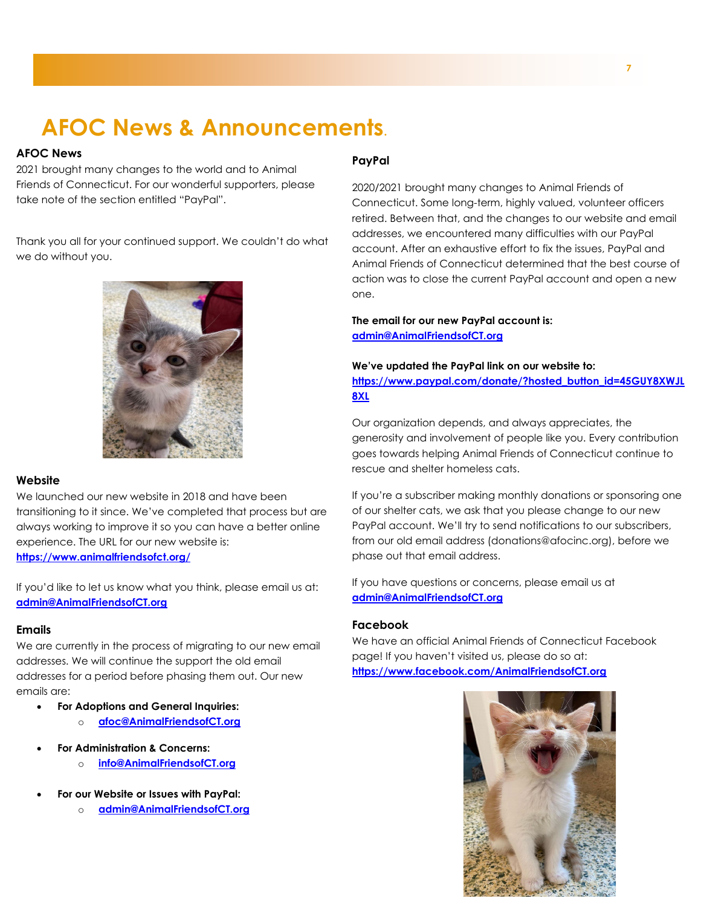# **AFOC News & Announcements.**

### **AFOC News**

2021 brought many changes to the world and to Animal Friends of Connecticut. For our wonderful supporters, please take note of the section entitled "PayPal".

Thank you all for your continued support. We couldn't do what we do without you.



### **Website**

We launched our new website in 2018 and have been transitioning to it since. We've completed that process but are always working to improve it so you can have a better online experience. The URL for our new website is: **<https://www.animalfriendsofct.org/>**

If you'd like to let us know what you think, please email us at: **[admin@AnimalFriendsofCT.org](mailto:admin@AnimalFriendsofCT.org)**

### **Emails**

We are currently in the process of migrating to our new email addresses. We will continue the support the old email addresses for a period before phasing them out. Our new emails are:

- **For Adoptions and General Inquiries:**
	- o **[afoc@AnimalFriendsofCT.org](mailto:afoc@AnimalFriendsofCT.org)**
- **For Administration & Concerns:**
	- o **[info@AnimalFriendsofCT.org](mailto:info@AnimalFriendsofCT.org)**
- **For our Website or Issues with PayPal:**
	- o **[admin@AnimalFriendsofCT.org](mailto:admin@AnimalFriendsofCT.org)**

### **PayPal**

2020/2021 brought many changes to Animal Friends of Connecticut. Some long-term, highly valued, volunteer officers retired. Between that, and the changes to our website and email addresses, we encountered many difficulties with our PayPal account. After an exhaustive effort to fix the issues, PayPal and Animal Friends of Connecticut determined that the best course of action was to close the current PayPal account and open a new one.

**The email for our new PayPal account is: [admin@AnimalFriendsofCT.org](mailto:admin@AnimalFriendsofCT.org)**

**We've updated the PayPal link on our website to: [https://www.paypal.com/donate/?hosted\\_button\\_id=45GUY8XWJL](https://www.paypal.com/donate/?hosted_button_id=45GUY8XWJL8XL) [8XL](https://www.paypal.com/donate/?hosted_button_id=45GUY8XWJL8XL)**

Our organization depends, and always appreciates, the generosity and involvement of people like you. Every contribution goes towards helping Animal Friends of Connecticut continue to rescue and shelter homeless cats.

If you're a subscriber making monthly donations or sponsoring one of our shelter cats, we ask that you please change to our new PayPal account. We'll try to send notifications to our subscribers, from our old email address (donations@afocinc.org), before we phase out that email address.

If you have questions or concerns, please email us at **[admin@AnimalFriendsofCT.org](mailto:admin@AnimalFriendsofCT.org)**

### **Facebook**

We have an official Animal Friends of Connecticut Facebook page! If you haven't visited us, please do so at: **<https://www.facebook.com/AnimalFriendsofCT.org>**